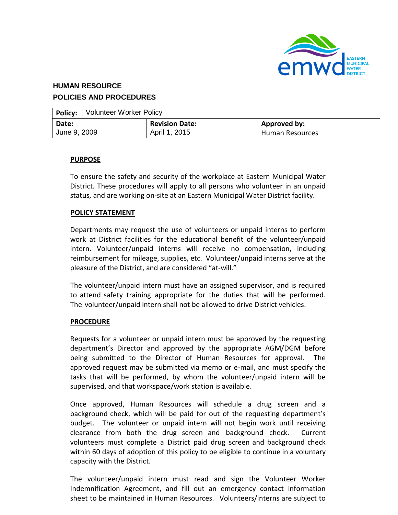

# **HUMAN RESOURCE POLICIES AND PROCEDURES**

| <b>Policy:</b> | Volunteer Worker Policy |                       |                 |
|----------------|-------------------------|-----------------------|-----------------|
| Date:          |                         | <b>Revision Date:</b> | Approved by:    |
| June 9, 2009   |                         | April 1, 2015         | Human Resources |

## **PURPOSE**

To ensure the safety and security of the workplace at Eastern Municipal Water District. These procedures will apply to all persons who volunteer in an unpaid status, and are working on-site at an Eastern Municipal Water District facility.

# **POLICY STATEMENT**

Departments may request the use of volunteers or unpaid interns to perform work at District facilities for the educational benefit of the volunteer/unpaid intern. Volunteer/unpaid interns will receive no compensation, including reimbursement for mileage, supplies, etc. Volunteer/unpaid interns serve at the pleasure of the District, and are considered "at-will."

The volunteer/unpaid intern must have an assigned supervisor, and is required to attend safety training appropriate for the duties that will be performed. The volunteer/unpaid intern shall not be allowed to drive District vehicles.

## **PROCEDURE**

Requests for a volunteer or unpaid intern must be approved by the requesting department's Director and approved by the appropriate AGM/DGM before being submitted to the Director of Human Resources for approval. The approved request may be submitted via memo or e-mail, and must specify the tasks that will be performed, by whom the volunteer/unpaid intern will be supervised, and that workspace/work station is available.

Once approved, Human Resources will schedule a drug screen and a background check, which will be paid for out of the requesting department's budget. The volunteer or unpaid intern will not begin work until receiving clearance from both the drug screen and background check. Current volunteers must complete a District paid drug screen and background check within 60 days of adoption of this policy to be eligible to continue in a voluntary capacity with the District.

The volunteer/unpaid intern must read and sign the Volunteer Worker Indemnification Agreement, and fill out an emergency contact information sheet to be maintained in Human Resources. Volunteers/interns are subject to